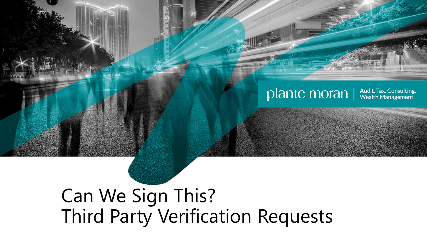

### Can We Sign This? Third Party Verification Requests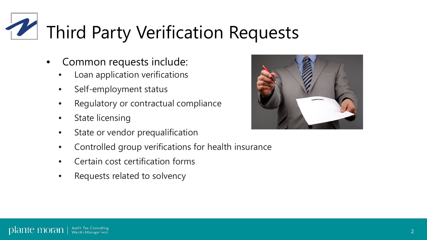# Third Party Verification Requests

- Common requests include:
	- Loan application verifications
	- Self-employment status
	- Regulatory or contractual compliance
	- State licensing
	- State or vendor prequalification
	- Controlled group verifications for health insurance
	- Certain cost certification forms
	- Requests related to solvency

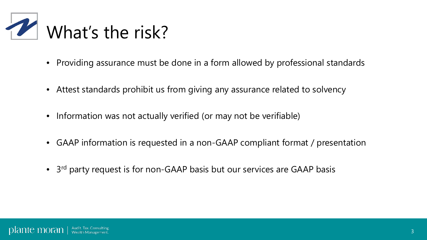

- Providing assurance must be done in a form allowed by professional standards
- Attest standards prohibit us from giving any assurance related to solvency
- Information was not actually verified (or may not be verifiable)
- GAAP information is requested in a non-GAAP compliant format / presentation
- 3<sup>rd</sup> party request is for non-GAAP basis but our services are GAAP basis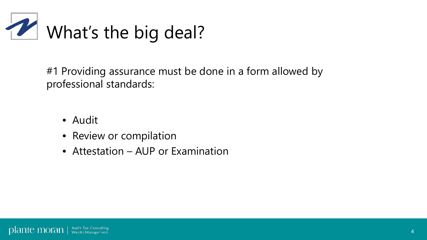

#1 Providing assurance must be done in a form allowed by professional standards:

- Audit
- Review or compilation
- Attestation AUP or Examination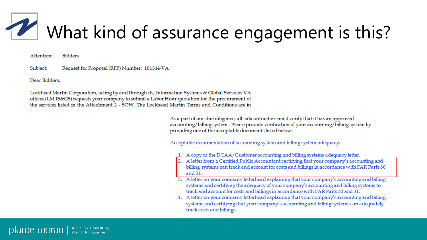# What kind of assurance engagement is this?

Attention: **Bidders** 

Request for Proposal (RFP) Number: 101314-VA Subject:

Dear Bidders,

Lockheed Martin Corporation, acting by and through its, Information Systems & Global Services VA offices (LM IS&GS) requests your company to submit a Labor Hour quotation for the procurement of the services listed in the Attachment 2 - SOW. The Lockheed Martin Terms and Conditions are in

> As a part of our due diligence, all subcontractors must verify that it has an approved accounting/billing system. Please provide verification of your accounting/billing system by providing one of the acceptable documents listed below:

Acceptable documentation of accounting system and billing system adequacy:

1. A copy of the DCAA/Customer accounting and billing systems adequacy letter.

- 2. A letter from a Certified Public Accountant certifying that your company's accounting and billing systems can track and account for costs and billings in accordance with FAR Parts 30 and 31.
- 3. A letter on your company letterhead explaining that your company's accounting and billing systems and certifying the adequacy of your company's accounting and billing systems to track and account for costs and billings in accordance with FAR Parts 30 and 31.
- 4. A letter on your company letterhead explaining that your company's accounting and billing systems and certifying that your company's accounting and billing systems can adequately track costs and billings.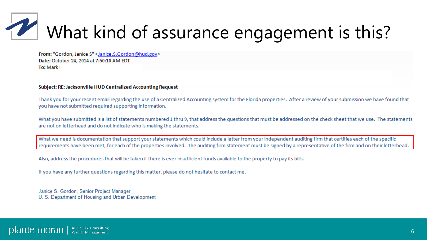# What kind of assurance engagement is this?

From: "Gordon, Janice S" < Janice.S.Gordon@hud.gov> Date: October 24, 2014 at 7:50:10 AM EDT To: Mark I

### Subject: RE: Jacksonville HUD Centralized Accounting Request

Thank you for your recent email regarding the use of a Centralized Accounting system for the Florida properties. After a review of your submission we have found that you have not submitted required supporting information.

What you have submitted is a list of statements numbered 1 thru 9, that address the questions that must be addressed on the check sheet that we use. The statements are not on letterhead and do not indicate who is making the statements.

What we need is documentation that support your statements which could include a letter from your independent auditing firm that certifies each of the specific requirements have been met, for each of the properties involved. The auditing firm statement must be signed by a representative of the firm and on their letterhead.

Also, address the procedures that will be taken if there is ever insufficient funds available to the property to pay its bills.

If you have any further questions regarding this matter, please do not hesitate to contact me.

Janice S. Gordon, Senior Project Manager U. S. Department of Housing and Urban Development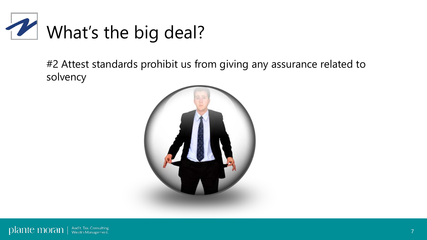

#2 Attest standards prohibit us from giving any assurance related to solvency

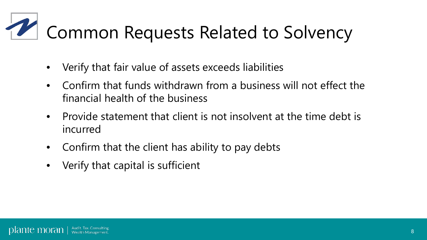### Common Requests Related to Solvency

- Verify that fair value of assets exceeds liabilities
- Confirm that funds withdrawn from a business will not effect the financial health of the business
- Provide statement that client is not insolvent at the time debt is incurred
- Confirm that the client has ability to pay debts
- Verify that capital is sufficient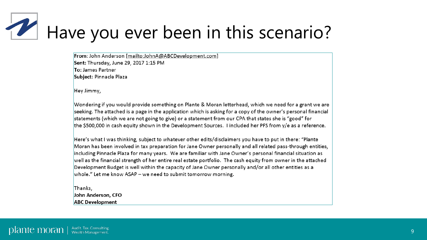## Have you ever been in this scenario?

From: John Anderson [mailto:JohnA@ABCDevelopment.com]

Sent: Thursday, June 29, 2017 1:15 PM To: James Partner Subject: Pinnacle Plaza

Hey Jimmy,

Wondering if you would provide something on Plante & Moran letterhead, which we need for a grant we are seeking. The attached is a page in the application which is asking for a copy of the owner's personal financial statements (which we are not going to give) or a statement from our CPA that states she is "good" for the \$500,000 in cash equity shown in the Development Sources. I included her PFS from y/e as a reference.

Here's what I was thinking, subject to whatever other edits/disclaimers you have to put in there: "Plante Moran has been involved in tax preparation for Jane Owner personally and all related pass-through entities, including Pinnacle Plaza for many years. We are familiar with Jane Owner's personal financial situation as well as the financial strength of her entire real estate portfolio. The cash equity from owner in the attached Development Budget is well within the capacity of Jane Owner personally and/or all other entities as a whole." Let me know ASAP - we need to submit tomorrow morning.

Thanks, John Anderson, CFO **ABC** Development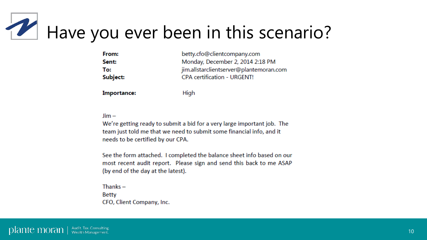### Have you ever been in this scenario?

| betty.cfo@clientcompany.com             |
|-----------------------------------------|
| Monday, December 2, 2014 2:18 PM        |
| jim.allstarclientserver@plantemoran.com |
| <b>CPA certification - URGENT!</b>      |
|                                         |

**Importance:** 

High

### $Jim -$

We're getting ready to submit a bid for a very large important job. The team just told me that we need to submit some financial info, and it needs to be certified by our CPA.

See the form attached. I completed the balance sheet info based on our most recent audit report. Please sign and send this back to me ASAP (by end of the day at the latest).

Thanks $-$ **Betty** CFO, Client Company, Inc.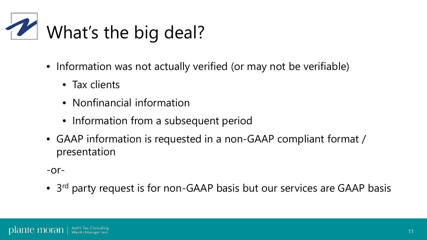

- Information was not actually verified (or may not be verifiable)
	- Tax clients
	- Nonfinancial information
	- Information from a subsequent period
- GAAP information is requested in a non-GAAP compliant format / presentation

 $-Or-$ 

• 3<sup>rd</sup> party request is for non-GAAP basis but our services are GAAP basis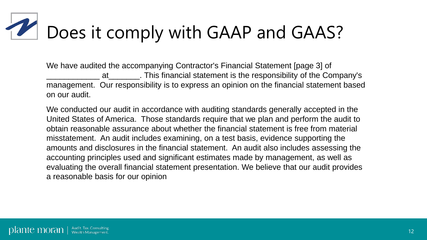### Does it comply with GAAP and GAAS?

We have audited the accompanying Contractor's Financial Statement [page 3] of at \_\_\_\_\_\_\_\_\_. This financial statement is the responsibility of the Company's management. Our responsibility is to express an opinion on the financial statement based on our audit.

We conducted our audit in accordance with auditing standards generally accepted in the United States of America. Those standards require that we plan and perform the audit to obtain reasonable assurance about whether the financial statement is free from material misstatement. An audit includes examining, on a test basis, evidence supporting the amounts and disclosures in the financial statement. An audit also includes assessing the accounting principles used and significant estimates made by management, as well as evaluating the overall financial statement presentation. We believe that our audit provides a reasonable basis for our opinion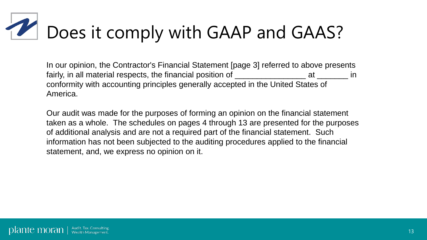## Does it comply with GAAP and GAAS?

In our opinion, the Contractor's Financial Statement [page 3] referred to above presents fairly, in all material respects, the financial position of \_\_\_\_\_\_\_\_\_\_\_\_\_\_\_\_\_\_\_\_ at \_\_\_\_\_\_\_\_\_ in conformity with accounting principles generally accepted in the United States of America.

Our audit was made for the purposes of forming an opinion on the financial statement taken as a whole. The schedules on pages 4 through 13 are presented for the purposes of additional analysis and are not a required part of the financial statement. Such information has not been subjected to the auditing procedures applied to the financial statement, and, we express no opinion on it.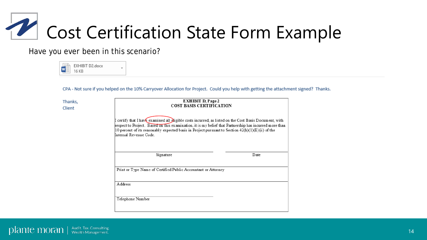

Have you ever been in this scenario?

| EXHIBIT D2.docx<br>$w \equiv$<br>16 KB |  |
|----------------------------------------|--|
|----------------------------------------|--|

CPA - Not sure if you helped on the 10% Carryover Allocation for Project. Could you help with getting the attachment signed? Thanks.

| Thanks,       |
|---------------|
| <b>Client</b> |

| <b>EXHIBIT D, Page 2</b><br><b>COST BASIS CERTIFICATION</b>                                                                                                                                                                                                                                                                                      |      |  |
|--------------------------------------------------------------------------------------------------------------------------------------------------------------------------------------------------------------------------------------------------------------------------------------------------------------------------------------------------|------|--|
| I certify that I have examined all digible costs incurred, as listed on the Cost Basis Document, with<br>respect to Project. Based on this examination, it is my belief that Partnership has incurred more than<br>10 percent of its reasonably expected basis in Project pursuant to Section $42(h)(1)(E)(ii)$ of the<br>Internal Revenue Code. |      |  |
| Signature                                                                                                                                                                                                                                                                                                                                        | Date |  |
| Print or Type Name of Certified Public Accountant or Attorney                                                                                                                                                                                                                                                                                    |      |  |
| Address                                                                                                                                                                                                                                                                                                                                          |      |  |
| Telephone Number                                                                                                                                                                                                                                                                                                                                 |      |  |
|                                                                                                                                                                                                                                                                                                                                                  |      |  |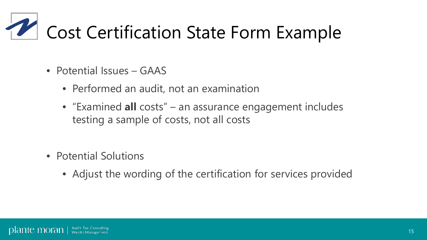## **Cost Certification State Form Example**

- Potential Issues GAAS
	- Performed an audit, not an examination
	- "Examined **all** costs" an assurance engagement includes testing a sample of costs, not all costs
- Potential Solutions
	- Adjust the wording of the certification for services provided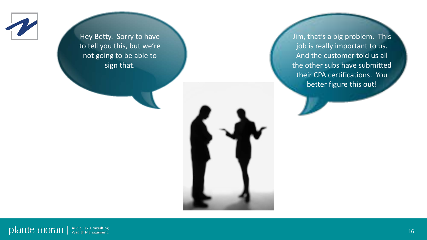

Hey Betty. Sorry to have to tell you this, but we're not going to be able to sign that.

Jim, that's a big problem. This job is really important to us. And the customer told us all the other subs have submitted their CPA certifications. You better figure this out!

plante moran | Audit. Tax. Consulting.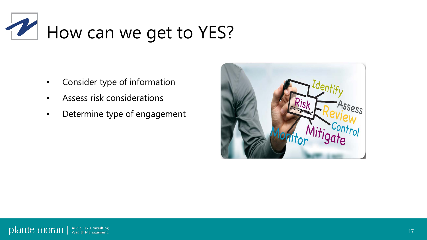

- Consider type of information
- Assess risk considerations
- Determine type of engagement

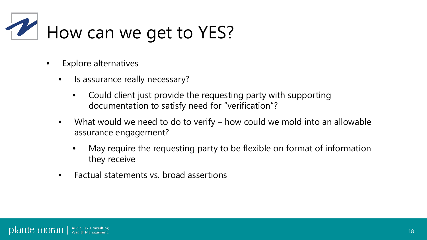

- Explore alternatives
	- Is assurance really necessary?
		- Could client just provide the requesting party with supporting documentation to satisfy need for "verification"?
	- What would we need to do to verify how could we mold into an allowable assurance engagement?
		- May require the requesting party to be flexible on format of information they receive
	- Factual statements vs. broad assertions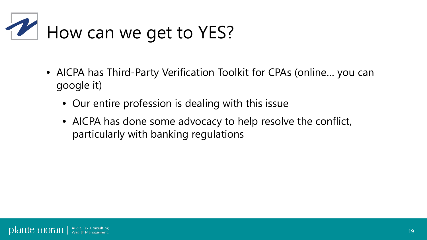

- AICPA has Third-Party Verification Toolkit for CPAs (online... you can google it)
	- Our entire profession is dealing with this issue
	- AICPA has done some advocacy to help resolve the conflict, particularly with banking regulations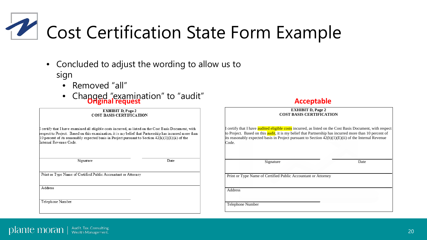### **Cost Certification State Form Example**

- Concluded to adjust the wording to allow us to sign
	- Removed "all"
	- Changed "examination" to "audit" **Original request Acceptable**

**EXHIBIT D, Page 2 COST BASIS CERTIFICATION** 

I certify that I have examined all eligible costs incurred, as listed on the Cost Basis Document, with respect to Project. Based on this examination, it is my belief that Partnership has incurred more than 10 percent of its reasonably expected basis in Project pursuant to Section  $42(h)(1)(E)(ii)$  of the Internal Revenue Code.

Signature

Date

Print or Type Name of Certified Public Accountant or Attorney

Address

Telephone Number

| <b>Acceptable</b><br><b>EXHIBIT D, Page 2</b><br><b>COST BASIS CERTIFICATION</b> |      |  |  |
|----------------------------------------------------------------------------------|------|--|--|
|                                                                                  |      |  |  |
| Signature                                                                        | Date |  |  |
| Print or Type Name of Certified Public Accountant or Attorney                    |      |  |  |
| Address                                                                          |      |  |  |
| Telephone Number                                                                 |      |  |  |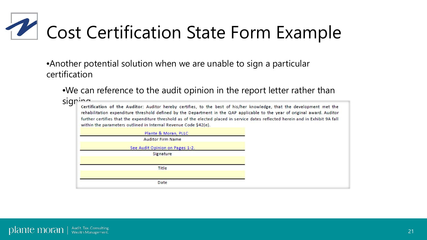# **Cost Certification State Form Example**

•Another potential solution when we are unable to sign a particular certification

•We can reference to the audit opinion in the report letter rather than

signing<br>Certification of the Auditor: Auditor hereby certifies, to the best of his/her knowledge, that the development met the rehabilitation expenditure threshold defined by the Department in the QAP applicable to the year of original award. Auditor further certifies that the expenditure threshold as of the elected placed in service dates reflected herein and in Exhibit 9A fall within the parameters outlined in Internal Revenue Code §42(e).